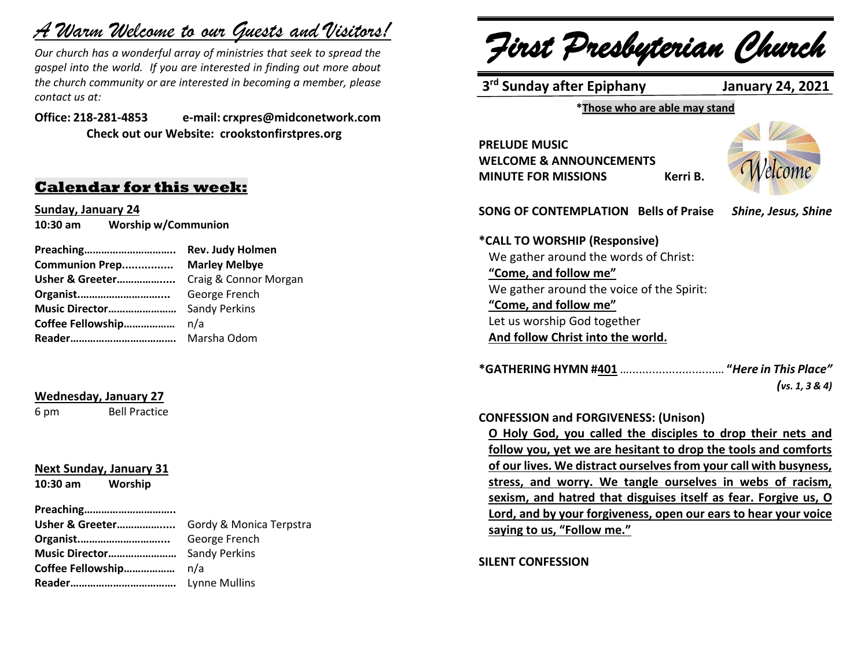# *A Warm Welcome to our Guests and Visitors!*

*Our church has a wonderful array of ministries that seek to spread the gospel into the world. If you are interested in finding out more about the church community or are interested in becoming a member, please contact us at:*

**Office: 218-281-4853 e-mail: crxpres@midconetwork.com Check out our Website: crookstonfirstpres.org**

### **Calendar for this week:**

**Sunday, January 24 10:30 am Worship w/Communion** 

| Preaching         | <b>Rev. Judy Holmen</b> |
|-------------------|-------------------------|
| Communion Prep    | <b>Marley Melbye</b>    |
| Usher & Greeter   | Craig & Connor Morgan   |
| Organist          | George French           |
| Music Director    | <b>Sandy Perkins</b>    |
| Coffee Fellowship | n/a                     |
|                   | Marsha Odom             |
|                   |                         |

#### **Wednesday, January 27**

6 pm Bell Practice

#### **Next Sunday, January 31**

**10:30 am Worship** 

### **Preaching…………………………..**

| Usher & Greeter Gordy & Monica Terpstra |  |
|-----------------------------------------|--|
|                                         |  |
|                                         |  |
|                                         |  |
|                                         |  |
|                                         |  |

*First Presbyterian Church* **3 rd Sunday after Epiphany January 24, 2021 \*Those who are able may stand PRELUDE MUSIC WELCOME & ANNOUNCEMENTS MINUTE FOR MISSIONS Kerri B. SONG OF CONTEMPLATION Bells of Praise** *Shine, Jesus, Shine* **\*CALL TO WORSHIP (Responsive)**  We gather around the words of Christ: **"Come, and follow me"** We gather around the voice of the Spirit: **"Come, and follow me"** Let us worship God together **And follow Christ into the world. \*GATHERING HYMN #401** …..........................… **"***Here in This Place"* *(vs. 1, 3 & 4)* **CONFESSION and FORGIVENESS: (Unison) O Holy God, you called the disciples to drop their nets and follow you, yet we are hesitant to drop the tools and comforts of our lives. We distract ourselves from your call with busyness, stress, and worry. We tangle ourselves in webs of racism,** 

**sexism, and hatred that disguises itself as fear. Forgive us, O Lord, and by your forgiveness, open our ears to hear your voice saying to us, "Follow me."**

**SILENT CONFESSION**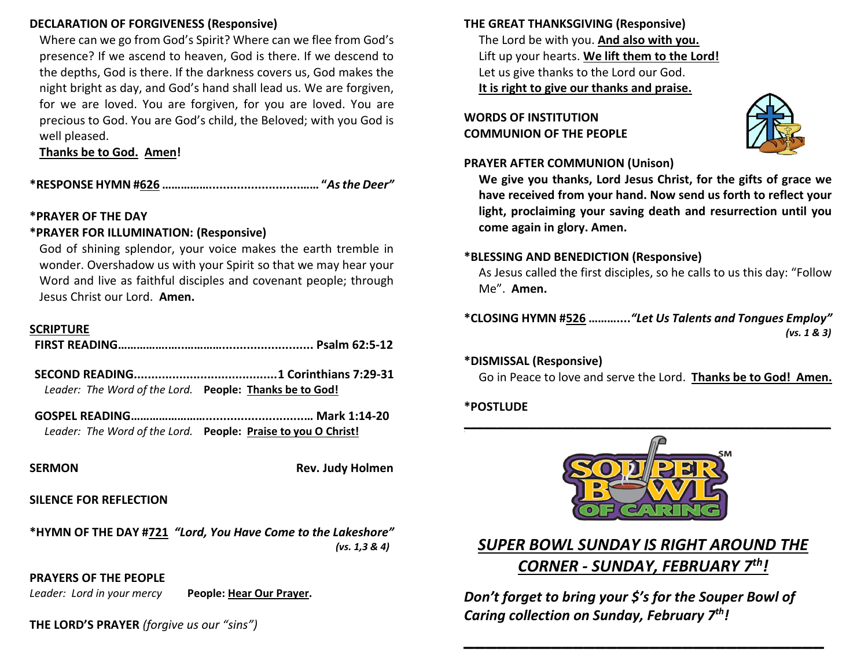### **DECLARATION OF FORGIVENESS (Responsive)**

Where can we go from God's Spirit? Where can we flee from God's presence? If we ascend to heaven, God is there. If we descend to the depths, God is there. If the darkness covers us, God makes the night bright as day, and God's hand shall lead us. We are forgiven, for we are loved. You are forgiven, for you are loved. You are precious to God. You are God's child, the Beloved; with you God is well pleased.

**Thanks be to God. Amen!**

**\*RESPONSE HYMN #626 ……………..........................…… "***As the Deer"* 

### **\*PRAYER OF THE DAY**

### **\*PRAYER FOR ILLUMINATION: (Responsive)**

God of shining splendor, your voice makes the earth tremble in wonder. Overshadow us with your Spirit so that we may hear your Word and live as faithful disciples and covenant people; through Jesus Christ our Lord. **Amen.**

#### **SCRIPTURE**

**FIRST READING…………….…..………….......................... Psalm 62:5-12**

- **SECOND READING.........................................1 Corinthians 7:29-31** *Leader: The Word of the Lord.* **People: Thanks be to God!**
- **GOSPEL READING……………………............................… Mark 1:14-20** *Leader: The Word of the Lord.* **People: Praise to you O Christ!**

**SERMON** Rev. Judy Holmen

**SILENCE FOR REFLECTION**

**\*HYMN OF THE DAY #721** *"Lord, You Have Come to the Lakeshore" (vs. 1,3 & 4)*

### **PRAYERS OF THE PEOPLE**

*Leader: Lord in your mercy* **People: Hear Our Prayer.**

**THE LORD'S PRAYER** *(forgive us our "sins")* 

### **THE GREAT THANKSGIVING (Responsive)**

The Lord be with you. **And also with you.** Lift up your hearts. **We lift them to the Lord!** Let us give thanks to the Lord our God. **It is right to give our thanks and praise.**

### **WORDS OF INSTITUTION COMMUNION OF THE PEOPLE**



#### **PRAYER AFTER COMMUNION (Unison)**

**We give you thanks, Lord Jesus Christ, for the gifts of grace we have received from your hand. Now send us forth to reflect your light, proclaiming your saving death and resurrection until you come again in glory. Amen.**

### **\*BLESSING AND BENEDICTION (Responsive)**

As Jesus called the first disciples, so he calls to us this day: "Follow Me". **Amen.**

**\*CLOSING HYMN #526 ………....***"Let Us Talents and Tongues Employ"* *(vs. 1 & 3)*

### **\*DISMISSAL (Responsive)**

Go in Peace to love and serve the Lord. **Thanks be to God! Amen.**

### **\*POSTLUDE**



# *SUPER BOWL SUNDAY IS RIGHT AROUND THE CORNER - SUNDAY, FEBRUARY 7th!*

**\_\_\_\_\_\_\_\_\_\_\_\_\_\_\_\_\_\_\_\_\_\_\_\_\_\_\_\_\_\_\_\_\_**

*Don't forget to bring your \$'s for the Souper Bowl of Caring collection on Sunday, February 7th!*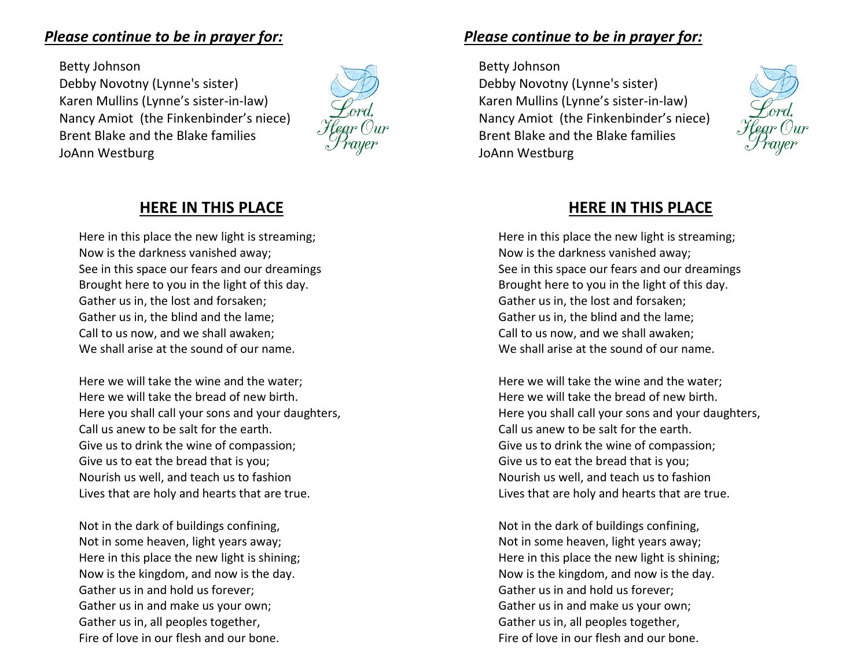### *Please continue to be in prayer for:*

Betty Johnson Debby Novotny (Lynne's sister) Karen Mullins (Lynne's sister-in-law) Nancy Amiot (the Finkenbinder's niece) Brent Blake and the Blake families JoAnn Westburg



# **HERE IN THIS PLACE**

Here in this place the new light is streaming; Now is the darkness vanished away; See in this space our fears and our dreamings Brought here to you in the light of this day. Gather us in, the lost and forsaken; Gather us in, the blind and the lame; Call to us now, and we shall awaken; We shall arise at the sound of our name.

Here we will take the wine and the water; Here we will take the bread of new birth. Here you shall call your sons and your daughters, Call us anew to be salt for the earth. Give us to drink the wine of compassion; Give us to eat the bread that is you; Nourish us well, and teach us to fashion Lives that are holy and hearts that are true.

Not in the dark of buildings confining, Not in some heaven, light years away; Here in this place the new light is shining; Now is the kingdom, and now is the day. Gather us in and hold us forever; Gather us in and make us your own; Gather us in, all peoples together, Fire of love in our flesh and our bone.

## *Please continue to be in prayer for:*

Betty Johnson Debby Novotny (Lynne's sister) Karen Mullins (Lynne's sister-in-law) Nancy Amiot (the Finkenbinder's niece) Brent Blake and the Blake families JoAnn Westburg



## **HERE IN THIS PLACE**

Here in this place the new light is streaming; Now is the darkness vanished away; See in this space our fears and our dreamings Brought here to you in the light of this day. Gather us in, the lost and forsaken; Gather us in, the blind and the lame; Call to us now, and we shall awaken; We shall arise at the sound of our name.

Here we will take the wine and the water; Here we will take the bread of new birth. Here you shall call your sons and your daughters, Call us anew to be salt for the earth. Give us to drink the wine of compassion; Give us to eat the bread that is you; Nourish us well, and teach us to fashion Lives that are holy and hearts that are true.

Not in the dark of buildings confining, Not in some heaven, light years away; Here in this place the new light is shining; Now is the kingdom, and now is the day. Gather us in and hold us forever; Gather us in and make us your own; Gather us in, all peoples together, Fire of love in our flesh and our bone.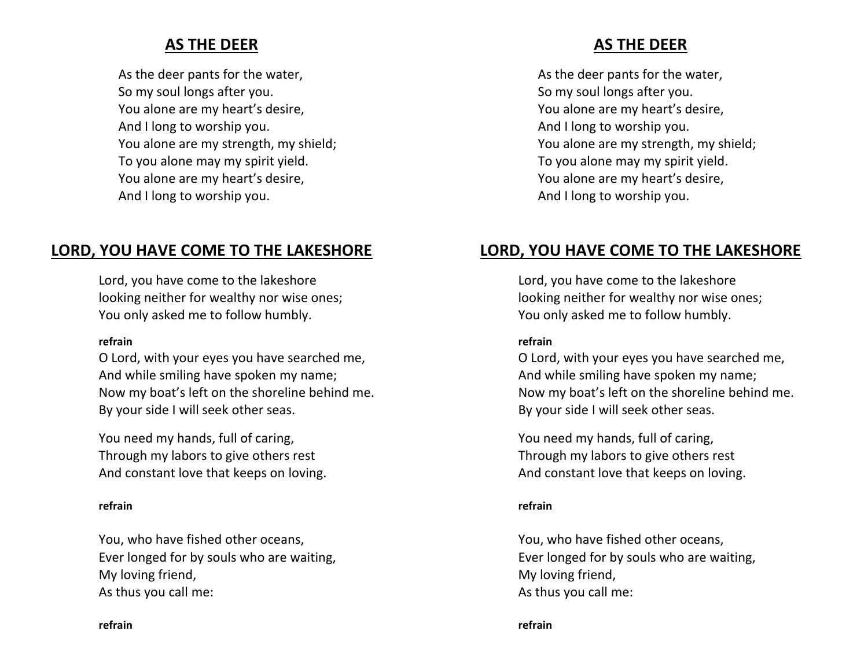# **AS THE DEER**

As the deer pants for the water, So my soul longs after you. You alone are my heart's desire, And I long to worship you. You alone are my strength, my shield; To you alone may my spirit yield. You alone are my heart's desire, And I long to worship you.

# **LORD, YOU HAVE COME TO THE LAKESHORE**

Lord, you have come to the lakeshore looking neither for wealthy nor wise ones; You only asked me to follow humbly.

### **refrain**

O Lord, with your eyes you have searched me, And while smiling have spoken my name; Now my boat's left on the shoreline behind me. By your side I will seek other seas.

You need my hands, full of caring, Through my labors to give others rest And constant love that keeps on loving.

### **refrain**

You, who have fished other oceans, Ever longed for by souls who are waiting, My loving friend, As thus you call me:

# **AS THE DEER**

As the deer pants for the water, So my soul longs after you. You alone are my heart's desire, And I long to worship you. You alone are my strength, my shield; To you alone may my spirit yield. You alone are my heart's desire, And I long to worship you.

# **LORD, YOU HAVE COME TO THE LAKESHORE**

Lord, you have come to the lakeshore looking neither for wealthy nor wise ones; You only asked me to follow humbly.

### **refrain**

O Lord, with your eyes you have searched me, And while smiling have spoken my name; Now my boat's left on the shoreline behind me. By your side I will seek other seas.

You need my hands, full of caring, Through my labors to give others rest And constant love that keeps on loving.

### **refrain**

You, who have fished other oceans, Ever longed for by souls who are waiting, My loving friend, As thus you call me:

**refrain**